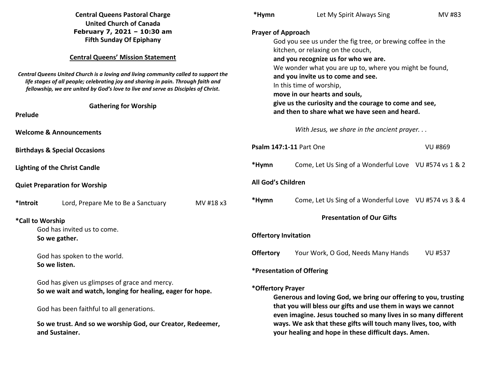| <b>Central Queens Pastoral Charge</b><br><b>United Church of Canada</b><br>February 7, 2021 - 10:30 am<br><b>Fifth Sunday Of Epiphany</b>                                                                                                                     | *Hymn                                                                                                                                                                                                                                                    | Let My Spirit Always Sing                                                                                                                                  | MV #83         |
|---------------------------------------------------------------------------------------------------------------------------------------------------------------------------------------------------------------------------------------------------------------|----------------------------------------------------------------------------------------------------------------------------------------------------------------------------------------------------------------------------------------------------------|------------------------------------------------------------------------------------------------------------------------------------------------------------|----------------|
|                                                                                                                                                                                                                                                               | <b>Prayer of Approach</b><br>God you see us under the fig tree, or brewing coffee in the                                                                                                                                                                 |                                                                                                                                                            |                |
| <b>Central Queens' Mission Statement</b>                                                                                                                                                                                                                      | kitchen, or relaxing on the couch,<br>and you recognize us for who we are.                                                                                                                                                                               |                                                                                                                                                            |                |
| Central Queens United Church is a loving and living community called to support the<br>life stages of all people; celebrating joy and sharing in pain. Through faith and<br>fellowship, we are united by God's love to live and serve as Disciples of Christ. |                                                                                                                                                                                                                                                          | We wonder what you are up to, where you might be found,<br>and you invite us to come and see.<br>In this time of worship,<br>move in our hearts and souls, |                |
| <b>Gathering for Worship</b><br>Prelude                                                                                                                                                                                                                       | give us the curiosity and the courage to come and see,<br>and then to share what we have seen and heard.                                                                                                                                                 |                                                                                                                                                            |                |
| <b>Welcome &amp; Announcements</b>                                                                                                                                                                                                                            |                                                                                                                                                                                                                                                          | With Jesus, we share in the ancient prayer                                                                                                                 |                |
| <b>Birthdays &amp; Special Occasions</b>                                                                                                                                                                                                                      |                                                                                                                                                                                                                                                          | Psalm 147:1-11 Part One                                                                                                                                    | <b>VU #869</b> |
| <b>Lighting of the Christ Candle</b>                                                                                                                                                                                                                          | *Hymn                                                                                                                                                                                                                                                    | Come, Let Us Sing of a Wonderful Love VU #574 vs 1 & 2                                                                                                     |                |
| <b>Quiet Preparation for Worship</b>                                                                                                                                                                                                                          | All God's Children                                                                                                                                                                                                                                       |                                                                                                                                                            |                |
| *Introit<br>MV #18 x3<br>Lord, Prepare Me to Be a Sanctuary                                                                                                                                                                                                   | *Hymn                                                                                                                                                                                                                                                    | Come, Let Us Sing of a Wonderful Love VU #574 vs 3 & 4                                                                                                     |                |
| *Call to Worship                                                                                                                                                                                                                                              | <b>Presentation of Our Gifts</b>                                                                                                                                                                                                                         |                                                                                                                                                            |                |
| God has invited us to come.<br>So we gather.                                                                                                                                                                                                                  | <b>Offertory Invitation</b>                                                                                                                                                                                                                              |                                                                                                                                                            |                |
| God has spoken to the world.                                                                                                                                                                                                                                  | <b>Offertory</b>                                                                                                                                                                                                                                         | Your Work, O God, Needs Many Hands                                                                                                                         | <b>VU #537</b> |
| So we listen.                                                                                                                                                                                                                                                 | *Presentation of Offering                                                                                                                                                                                                                                |                                                                                                                                                            |                |
| God has given us glimpses of grace and mercy.<br>So we wait and watch, longing for healing, eager for hope.                                                                                                                                                   | *Offertory Prayer<br>Generous and loving God, we bring our offering to you, trusting                                                                                                                                                                     |                                                                                                                                                            |                |
| God has been faithful to all generations.                                                                                                                                                                                                                     | that you will bless our gifts and use them in ways we cannot<br>even imagine. Jesus touched so many lives in so many different<br>ways. We ask that these gifts will touch many lives, too, with<br>your healing and hope in these difficult days. Amen. |                                                                                                                                                            |                |
| So we trust. And so we worship God, our Creator, Redeemer,<br>and Sustainer.                                                                                                                                                                                  |                                                                                                                                                                                                                                                          |                                                                                                                                                            |                |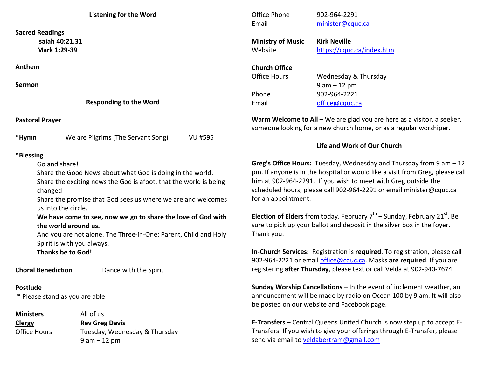### **Listening for the Word**

**Sacred Readings Isaiah 40:21.31 Mark 1:29-39** 

**Anthem** 

**Sermon** 

**Responding to the Word** 

**Pastoral Prayer** 

**\*Hymn** We are Pilgrims (The Servant Song) VU #595

#### **\*Blessing**

Go and share!

Share the Good News about what God is doing in the world.

 Share the exciting news the God is afoot, that the world is being changed

 Share the promise that God sees us where we are and welcomes us into the circle.

 **We have come to see, now we go to share the love of God with the world around us.**

 And you are not alone. The Three-in-One: Parent, Child and Holy Spirit is with you always.

 **Thanks be to God!**

**Choral Benediction Dance with the Spirit** 

**Postlude \*** Please stand as you are able

**Ministers All of us** 

**Clergy**

**Clergy Rev Greg Davis**<br> **C**office Hours **Tuesday** Wedn Tuesday, Wednesday & Thursday 9 am – 12 pm

Office Phone 902-964-2291 Email minister@cquc.ca**Ministry of Music Kirk Neville** Website https://cquc.ca/index.htm**Church Office**Office Hours Wednesday & Thursday

 9 am – 12 pm Phone 902-964-2221 Email office@cquc.ca

**Warm Welcome to All** – We are glad you are here as a visitor, a seeker,someone looking for a new church home, or as a regular worshiper.

### **Life and Work of Our Church**

**Greg's Office Hours:** Tuesday, Wednesday and Thursday from 9 am – 12 pm. If anyone is in the hospital or would like a visit from Greg, please call him at 902-964-2291. If you wish to meet with Greg outside the scheduled hours, please call 902-964-2291 or email minister@cquc.ca for an appointment.

**Election of Elders** from today, February  $7<sup>th</sup>$  – Sunday, February 21<sup>st</sup>. Be sure to pick up your ballot and deposit in the silver box in the foyer. Thank you.

**In-Church Services:** Registration is **required**. To registration, please call 902-964-2221 or email office@cquc.ca. Masks **are required**. If you are registering **after Thursday**, please text or call Velda at 902-940-7674.

**Sunday Worship Cancellations** – In the event of inclement weather, an announcement will be made by radio on Ocean 100 by 9 am. It will also be posted on our website and Facebook page.

**E-Transfers** – Central Queens United Church is now step up to accept E-Transfers. If you wish to give your offerings through E-Transfer, please send via email to veldabertram@gmail.com